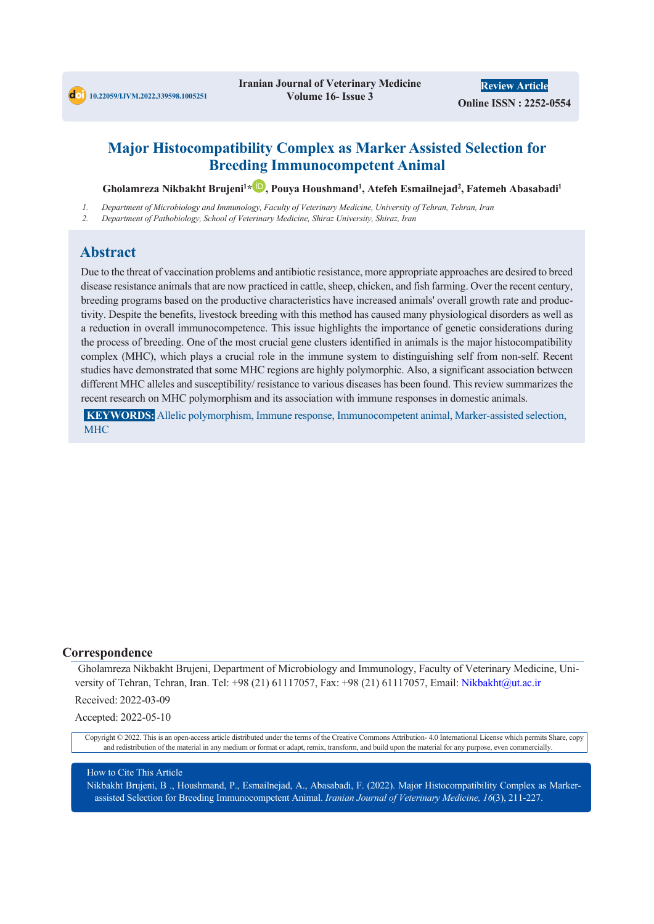

# **Major Histocompatibility Complex as Marker Assisted Selection for Breeding Immunocompetent Animal**

**Gholamreza Nikbakht Brujeni1 \* , Pouya Houshmand1 , Atefeh Esmailnejad2 , Fatemeh Abasabadi1**

- *1. Department of Microbiology and Immunology, Faculty of Veterinary Medicine, University of Tehran, Tehran, Iran*
- *2. Department of Pathobiology, School of Veterinary Medicine, Shiraz University, Shiraz, Iran*

# **Abstract**

Due to the threat of vaccination problems and antibiotic resistance, more appropriate approaches are desired to breed disease resistance animals that are now practiced in cattle, sheep, chicken, and fish farming. Over the recent century, breeding programs based on the productive characteristics have increased animals' overall growth rate and productivity. Despite the benefits, livestock breeding with this method has caused many physiological disorders as well as a reduction in overall immunocompetence. This issue highlights the importance of genetic considerations during the process of breeding. One of the most crucial gene clusters identified in animals is the major histocompatibility complex (MHC), which plays a crucial role in the immune system to distinguishing self from non-self. Recent studies have demonstrated that some MHC regions are highly polymorphic. Also, a significant association between different MHC alleles and susceptibility/ resistance to various diseases has been found. This review summarizes the recent research on MHC polymorphism and its association with immune responses in domestic animals.

**KEYWORDS:** Allelic polymorphism, Immune response, Immunocompetent animal, Marker-assisted selection, **MHC** 

### **Correspondence**

Gholamreza Nikbakht Brujeni, Department of Microbiology and Immunology, Faculty of Veterinary Medicine, University of Tehran, Tehran, Iran. Tel: +98 (21) 61117057, Fax: +98 (21) 61117057, Email: Nikbakht@ut.ac.ir

Received: 2022-03-09

Accepted: 2022-05-10

Copyright © 2022. This is an open-access article distributed under the terms of the Creative Commons Attribution- 4.0 International License which permits Share, copy and redistribution of the material in any medium or format or adapt, remix, transform, and build upon the material for any purpose, even commercially.

### How to Cite This Article

Nikbakht Brujeni, B ., Houshmand, P., Esmailnejad, A., Abasabadi, F. (2022). Major Histocompatibility Complex as Markerassisted Selection for Breeding Immunocompetent Animal. *Iranian Journal of Veterinary Medicine, 16*(3), 211-227.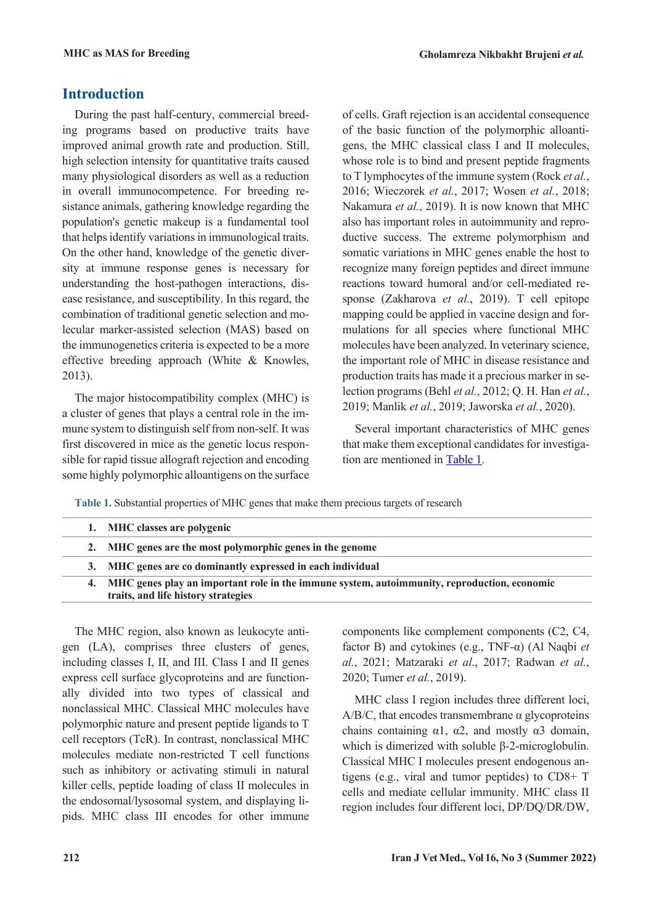# **Introduction**

During the past half-century, commercial breeding programs based on productive traits have improved animal growth rate and production. Still, high selection intensity for quantitative traits caused many physiological disorders as well as a reduction in overall immunocompetence. For breeding resistance animals, gathering knowledge regarding the population's genetic makeup is a fundamental tool that helps identify variations in immunological traits. On the other hand, knowledge of the genetic diversity at immune response genes is necessary for understanding the host-pathogen interactions, disease resistance, and susceptibility. In this regard, the combination of traditional genetic selection and molecular marker-assisted selection (MAS) based on the immunogenetics criteria is expected to be a more effective breeding approach (White & Knowles, 2013).

The major histocompatibility complex (MHC) is a cluster of genes that plays a central role in the immune system to distinguish self from non-self. It was first discovered in mice as the genetic locus responsible for rapid tissue allograft rejection and encoding some highly polymorphic alloantigens on the surface of cells. Graft rejection is an accidental consequence of the basic function of the polymorphic alloantigens, the MHC classical class I and II molecules, whose role is to bind and present peptide fragments to T lymphocytes of the immune system (Rock *et al.*, 2016; Wieczorek *et al.*, 2017; Wosen *et al.*, 2018; Nakamura *et al.*, 2019). It is now known that MHC also has important roles in autoimmunity and reproductive success. The extreme polymorphism and somatic variations in MHC genes enable the host to recognize many foreign peptides and direct immune reactions toward humoral and/or cell-mediated response (Zakharova *et al.*, 2019). T cell epitope mapping could be applied in vaccine design and formulations for all species where functional MHC molecules have been analyzed. In veterinary science, the important role of MHC in disease resistance and production traits has made it a precious marker in selection programs (Behl *et al.*, 2012; Q. H. Han *et al.*, 2019; Manlik *et al.*, 2019; Jaworska *et al.*, 2020).

Several important characteristics of MHC genes that make them exceptional candidates for investigation are mentioned in [Table 1.](#page-1-0)

<span id="page-1-0"></span>**Table 1.** Substantial properties of MHC genes that make them precious targets of research

| 1. MHC classes are polygenic                                                                   |
|------------------------------------------------------------------------------------------------|
| 2. MHC genes are the most polymorphic genes in the genome                                      |
| 3. MHC genes are co dominantly expressed in each individual                                    |
| 4. MHC genes play an important role in the immune system, autoimmunity, reproduction, economic |
| traits, and life history strategies                                                            |

The MHC region, also known as leukocyte antigen (LA), comprises three clusters of genes, including classes I, II, and III. Class I and II genes express cell surface glycoproteins and are functionally divided into two types of classical and nonclassical MHC. Classical MHC molecules have polymorphic nature and present peptide ligands to T cell receptors (TcR). In contrast, nonclassical MHC molecules mediate non-restricted T cell functions such as inhibitory or activating stimuli in natural killer cells, peptide loading of class II molecules in the endosomal/lysosomal system, and displaying lipids. MHC class III encodes for other immune components like complement components (C2, C4, factor B) and cytokines (e.g., TNF-α) (Al Naqbi *et al.*, 2021; Matzaraki *et al.*, 2017; Radwan *et al.*, 2020; Tumer *et al.*, 2019).

MHC class I region includes three different loci, A/B/C, that encodes transmembrane α glycoproteins chains containing  $\alpha$ 1,  $\alpha$ 2, and mostly  $\alpha$ 3 domain, which is dimerized with soluble β-2-microglobulin. Classical MHC I molecules present endogenous antigens (e.g., viral and tumor peptides) to CD8+ T cells and mediate cellular immunity. MHC class II region includes four different loci, DP/DQ/DR/DW,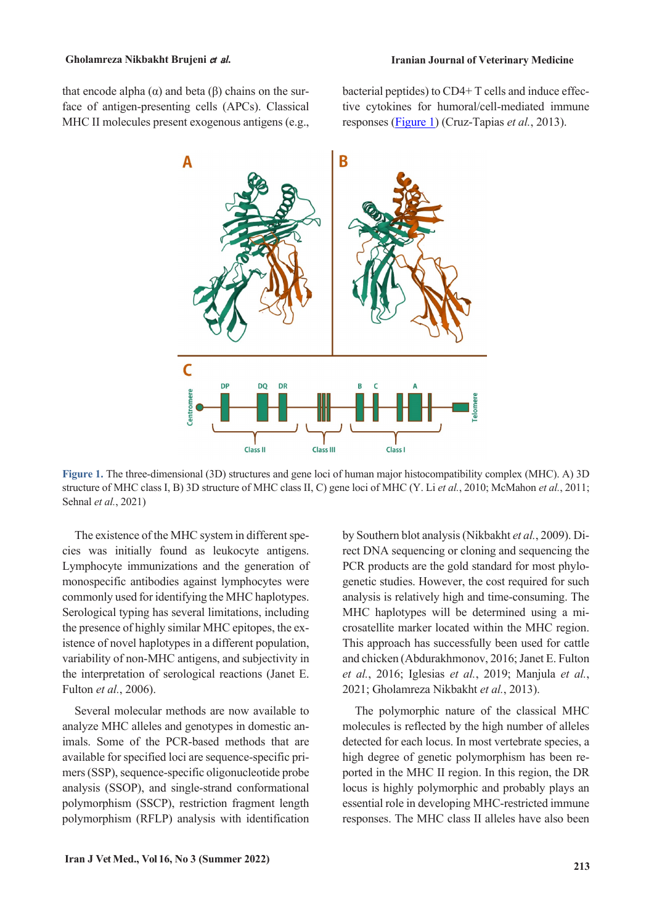that encode alpha ( $α$ ) and beta ( $β$ ) chains on the surface of antigen-presenting cells (APCs). Classical MHC II molecules present exogenous antigens (e.g., bacterial peptides) to CD4+ T cells and induce effective cytokines for humoral/cell-mediated immune responses [\(Figure](#page-2-0) 1) (Cruz-Tapias *et al.*, 2013).



<span id="page-2-0"></span>**Figure 1.** The three-dimensional (3D) structures and gene loci of human major histocompatibility complex (MHC). A) 3D structure of MHC class I, B) 3D structure of MHC class II, C) gene loci of MHC (Y. Li *et al.*, 2010; McMahon *et al.*, 2011; Sehnal *et al.*, 2021)

The existence of the MHC system in different species was initially found as leukocyte antigens. Lymphocyte immunizations and the generation of monospecific antibodies against lymphocytes were commonly used for identifying the MHC haplotypes. Serological typing has several limitations, including the presence of highly similar MHC epitopes, the existence of novel haplotypes in a different population, variability of non-MHC antigens, and subjectivity in the interpretation of serological reactions (Janet E. Fulton *et al.*, 2006).

Several molecular methods are now available to analyze MHC alleles and genotypes in domestic animals. Some of the PCR-based methods that are available for specified loci are sequence-specific primers (SSP), sequence-specific oligonucleotide probe analysis (SSOP), and single-strand conformational polymorphism (SSCP), restriction fragment length polymorphism (RFLP) analysis with identification

by Southern blot analysis(Nikbakht *et al.*, 2009). Direct DNA sequencing or cloning and sequencing the PCR products are the gold standard for most phylogenetic studies. However, the cost required for such analysis is relatively high and time-consuming. The MHC haplotypes will be determined using a microsatellite marker located within the MHC region. This approach has successfully been used for cattle and chicken (Abdurakhmonov, 2016; Janet E. Fulton *et al.*, 2016; Iglesias *et al.*, 2019; Manjula *et al.*, 2021; Gholamreza Nikbakht *et al.*, 2013).

The polymorphic nature of the classical MHC molecules is reflected by the high number of alleles detected for each locus. In most vertebrate species, a high degree of genetic polymorphism has been reported in the MHC II region. In this region, the DR locus is highly polymorphic and probably plays an essential role in developing MHC-restricted immune responses. The MHC class II alleles have also been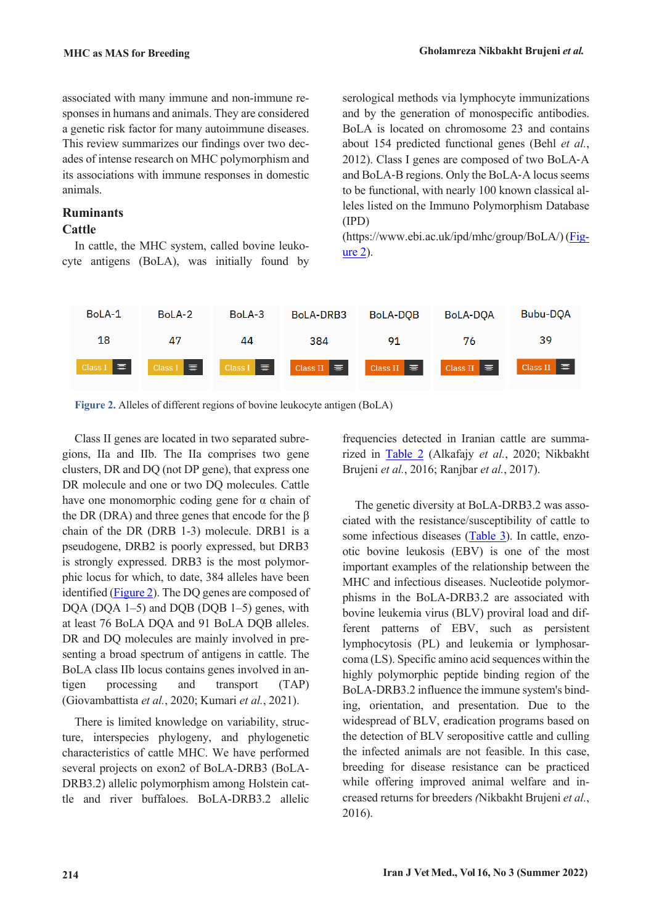associated with many immune and non-immune responses in humans and animals. They are considered a genetic risk factor for many autoimmune diseases. This review summarizes our findings over two decades of intense research on MHC polymorphism and its associations with immune responses in domestic animals.

# **Ruminants**

## **Cattle**

In cattle, the MHC system, called bovine leukocyte antigens (BoLA), was initially found by serological methods via lymphocyte immunizations and by the generation of monospecific antibodies. BoLA is located on chromosome 23 and contains about 154 predicted functional genes (Behl *et al.*, 2012). Class I genes are composed of two BoLA‐A and BoLA-B regions. Only the BoLA-A locus seems to be functional, with nearly 100 known classical alleles listed on the Immuno Polymorphism Database (IPD)

(https://www.ebi.ac.uk/ipd/mhc/group/BoLA/) [\(Fig](#page-3-0)[ure](#page-3-0) 2).



<span id="page-3-0"></span>**Figure 2.** Alleles of different regions of bovine leukocyte antigen (BoLA)

Class II genes are located in two separated subregions, IIa and IIb. The IIa comprises two gene clusters, DR and DQ (not DP gene), that express one DR molecule and one or two DQ molecules. Cattle have one monomorphic coding gene for  $\alpha$  chain of the DR (DRA) and three genes that encode for the  $\beta$ chain of the DR (DRB 1-3) molecule. DRB1 is a pseudogene, DRB2 is poorly expressed, but DRB3 is strongly expressed. DRB3 is the most polymorphic locus for which, to date, 384 alleles have been identified [\(Figure](#page-3-0) 2). The DQ genes are composed of DQA (DQA 1–5) and DQB (DQB 1–5) genes, with at least 76 BoLA DQA and 91 BoLA DQB alleles. DR and DQ molecules are mainly involved in presenting a broad spectrum of antigens in cattle. The BoLA class IIb locus contains genes involved in antigen processing and transport (TAP) (Giovambattista *et al.*, 2020; Kumari *et al.*, 2021).

There is limited knowledge on variability, structure, interspecies phylogeny, and phylogenetic characteristics of cattle MHC. We have performed several projects on exon2 of BoLA-DRB3 (BoLA-DRB3.2) allelic polymorphism among Holstein cattle and river buffaloes. BoLA-DRB3.2 allelic frequencies detected in Iranian cattle are summarized in [Table](#page-4-0) 2 (Alkafajy *et al.*, 2020; Nikbakht Brujeni *et al.*, 2016; Ranjbar *et al.*, 2017).

The genetic diversity at BoLA-DRB3.2 was associated with the resistance/susceptibility of cattle to some infectious diseases [\(Table](#page-4-1) 3). In cattle, enzootic bovine leukosis (EBV) is one of the most important examples of the relationship between the MHC and infectious diseases. Nucleotide polymorphisms in the BoLA-DRB3.2 are associated with bovine leukemia virus (BLV) proviral load and different patterns of EBV, such as persistent lymphocytosis (PL) and leukemia or lymphosarcoma (LS). Specific amino acid sequences within the highly polymorphic peptide binding region of the BoLA-DRB3.2 influence the immune system's binding, orientation, and presentation. Due to the widespread of BLV, eradication programs based on the detection of BLV seropositive cattle and culling the infected animals are not feasible. In this case, breeding for disease resistance can be practiced while offering improved animal welfare and increased returns for breeders *(*Nikbakht Brujeni *et al.*, 2016).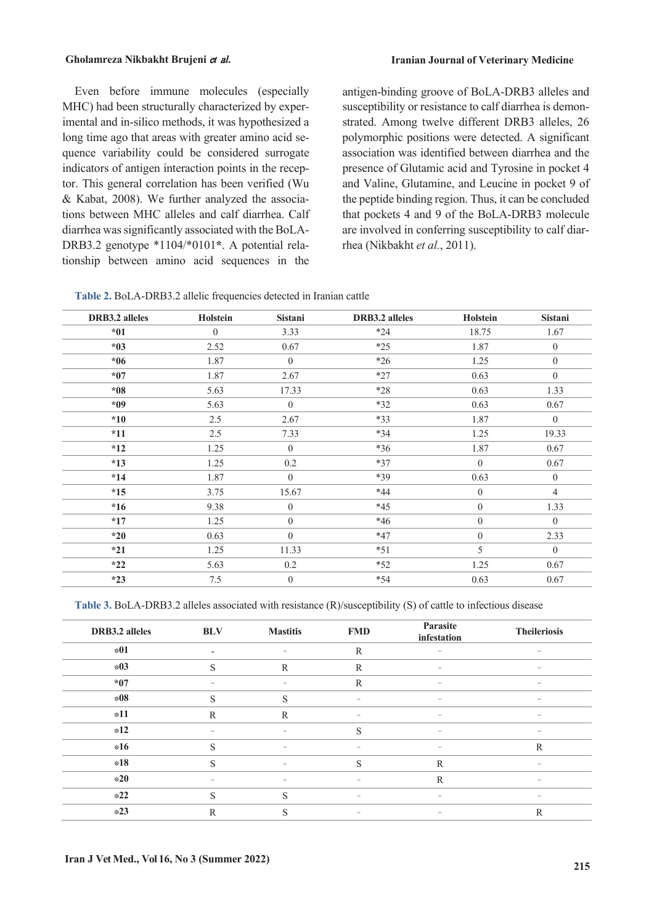Even before immune molecules (especially MHC) had been structurally characterized by experimental and in-silico methods, it was hypothesized a long time ago that areas with greater amino acid sequence variability could be considered surrogate indicators of antigen interaction points in the receptor. This general correlation has been verified (Wu & Kabat, 2008). We further analyzed the associations between MHC alleles and calf diarrhea. Calf diarrhea wassignificantly associated with the BoLA-DRB3.2 genotype \*1104/\*0101**\***. A potential relationship between amino acid sequences in the

antigen-binding groove of BoLA-DRB3 alleles and susceptibility or resistance to calf diarrhea is demonstrated. Among twelve different DRB3 alleles, 26 polymorphic positions were detected. A significant association was identified between diarrhea and the presence of Glutamic acid and Tyrosine in pocket 4 and Valine, Glutamine, and Leucine in pocket 9 of the peptide binding region. Thus, it can be concluded that pockets 4 and 9 of the BoLA-DRB3 molecule are involved in conferring susceptibility to calf diarrhea (Nikbakht *et al.*, 2011).

<span id="page-4-0"></span>

| Table 2. BoLA-DRB3.2 allelic frequencies detected in Iranian cattle |  |
|---------------------------------------------------------------------|--|
|---------------------------------------------------------------------|--|

| <b>DRB3.2</b> alleles | Holstein       | Sistani          | <b>DRB3.2</b> alleles | Holstein         | Sistani          |
|-----------------------|----------------|------------------|-----------------------|------------------|------------------|
| $*01$                 | $\overline{0}$ | 3.33             | $*24$                 | 18.75            | 1.67             |
| $*03$                 | 2.52           | 0.67             | $*25$                 | 1.87             | $\boldsymbol{0}$ |
| $*06$                 | 1.87           | $\overline{0}$   | $*26$                 | 1.25             | $\boldsymbol{0}$ |
| $*07$                 | 1.87           | 2.67             | $*27$                 | 0.63             | $\boldsymbol{0}$ |
| $*08$                 | 5.63           | 17.33            | $*28$                 | 0.63             | 1.33             |
| $*09$                 | 5.63           | $\mathbf{0}$     | $*32$                 | 0.63             | 0.67             |
| $*10$                 | 2.5            | 2.67             | $*33$                 | 1.87             | $\mathbf{0}$     |
| $*11$                 | 2.5            | 7.33             | $*34$                 | 1.25             | 19.33            |
| $*12$                 | 1.25           | $\overline{0}$   | $*36$                 | 1.87             | 0.67             |
| $*13$                 | 1.25           | 0.2              | $*37$                 | $\overline{0}$   | 0.67             |
| $*14$                 | 1.87           | $\boldsymbol{0}$ | $*39$                 | 0.63             | $\boldsymbol{0}$ |
| $*15$                 | 3.75           | 15.67            | $*44$                 | $\boldsymbol{0}$ | $\overline{4}$   |
| $*16$                 | 9.38           | $\boldsymbol{0}$ | $*45$                 | $\boldsymbol{0}$ | 1.33             |
| $*17$                 | 1.25           | $\boldsymbol{0}$ | $*46$                 | $\overline{0}$   | $\overline{0}$   |
| $*20$                 | 0.63           | $\overline{0}$   | $*47$                 | $\overline{0}$   | 2.33             |
| $*21$                 | 1.25           | 11.33            | $*51$                 | 5                | $\boldsymbol{0}$ |
| $*22$                 | 5.63           | 0.2              | $*52$                 | 1.25             | 0.67             |
| $*23$                 | 7.5            | $\boldsymbol{0}$ | $*54$                 | 0.63             | 0.67             |

<span id="page-4-1"></span>**Table 3.** BoLA-DRB3.2 alleles associated with resistance (R)/susceptibility (S) of cattle to infectious disease

| DRB3.2 alleles | <b>BLV</b>               | <b>Mastitis</b>   | <b>FMD</b>    | Parasite<br>infestation  | <b>Theileriosis</b> |
|----------------|--------------------------|-------------------|---------------|--------------------------|---------------------|
| $*01$          | $\overline{\phantom{a}}$ | -                 | $\mathbb{R}$  | $\qquad \qquad =$        |                     |
| $*03$          | S                        | $\mathbb{R}$      | ${\mathbb R}$ | $\overline{\phantom{m}}$ | $\qquad \qquad -$   |
| $*07$          |                          |                   | R             | -                        |                     |
| $\pm 08$       | S                        | S                 | -             | -                        |                     |
| $*11$          | $\mathbb{R}$             | $\mathbb{R}$      | -             | $\qquad \qquad -$        | $\equiv$            |
| $*12$          | $\equiv$                 | -                 | S             | $\qquad \qquad -$        | $\equiv$            |
| $*16$          | S                        | $\equiv$          | -             | -                        | $\mathbb R$         |
| $*18$          | S                        |                   | S             | ${\mathbb R}$            |                     |
| $*20$          | $\qquad \qquad -$        | $\qquad \qquad -$ | -             | $\mathbb{R}$             | $\equiv$            |
| $*22$          | S                        | S                 | ۳             | -                        | -                   |
| $*23$          | $\mathbb{R}$             | S                 | -             | $\equiv$                 | $\mathbb R$         |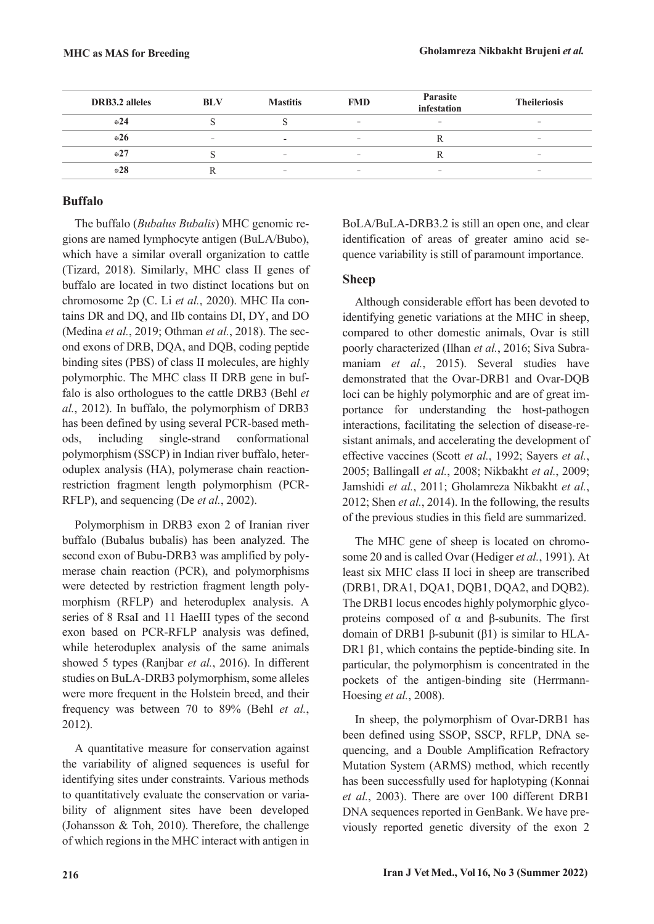| <b>DRB3.2</b> alleles | <b>BLV</b>               | <b>Mastitis</b>          | <b>FMD</b>               | Parasite<br>infestation  | <b>Theileriosis</b>      |
|-----------------------|--------------------------|--------------------------|--------------------------|--------------------------|--------------------------|
| $*24$                 |                          |                          | $\overline{\phantom{a}}$ | $\overline{\phantom{a}}$ | $\overline{\phantom{a}}$ |
| $*26$                 | $\overline{\phantom{a}}$ | $\overline{\phantom{a}}$ | $\overline{\phantom{a}}$ |                          | $\overline{\phantom{a}}$ |
| $*27$                 |                          | $\overline{\phantom{a}}$ | $\overline{\phantom{a}}$ |                          | $\overline{\phantom{a}}$ |
| $*28$                 |                          | $\overline{\phantom{a}}$ | $\overline{\phantom{a}}$ | $\sim$                   | $\overline{\phantom{a}}$ |

## **Buffalo**

The buffalo (*Bubalus Bubalis*) MHC genomic regions are named lymphocyte antigen (BuLA/Bubo), which have a similar overall organization to cattle (Tizard, 2018). Similarly, MHC class II genes of buffalo are located in two distinct locations but on chromosome 2p (C. Li *et al.*, 2020). MHC IIa contains DR and DQ, and IIb contains DI, DY, and DO (Medina *et al.*, 2019; Othman *et al.*, 2018). The second exons of DRB, DQA, and DQB, coding peptide binding sites (PBS) of class II molecules, are highly polymorphic. The MHC class II DRB gene in buffalo is also orthologues to the cattle DRB3 (Behl *et al.*, 2012). In buffalo, the polymorphism of DRB3 has been defined by using several PCR-based methods, including single-strand conformational polymorphism (SSCP) in Indian river buffalo, heteroduplex analysis (HA), polymerase chain reactionrestriction fragment length polymorphism (PCR-RFLP), and sequencing (De *et al.*, 2002).

Polymorphism in DRB3 exon 2 of Iranian river buffalo (Bubalus bubalis) has been analyzed. The second exon of Bubu-DRB3 was amplified by polymerase chain reaction (PCR), and polymorphisms were detected by restriction fragment length polymorphism (RFLP) and heteroduplex analysis. A series of 8 RsaI and 11 HaeIII types of the second exon based on PCR-RFLP analysis was defined, while heteroduplex analysis of the same animals showed 5 types (Ranjbar *et al.*, 2016). In different studies on BuLA-DRB3 polymorphism, some alleles were more frequent in the Holstein breed, and their frequency was between 70 to 89% (Behl *et al.*, 2012).

A quantitative measure for conservation against the variability of aligned sequences is useful for identifying sites under constraints. Various methods to quantitatively evaluate the conservation or variability of alignment sites have been developed (Johansson & Toh, 2010). Therefore, the challenge of which regions in the MHC interact with antigen in BoLA/BuLA-DRB3.2 is still an open one, and clear identification of areas of greater amino acid sequence variability is still of paramount importance.

## **Sheep**

Although considerable effort has been devoted to identifying genetic variations at the MHC in sheep, compared to other domestic animals, Ovar is still poorly characterized (Ilhan *et al.*, 2016; Siva Subramaniam *et al.*, 2015). Several studies have demonstrated that the Ovar-DRB1 and Ovar-DQB loci can be highly polymorphic and are of great importance for understanding the host-pathogen interactions, facilitating the selection of disease-resistant animals, and accelerating the development of effective vaccines (Scott *et al.*, 1992; Sayers *et al.*, 2005; Ballingall *et al.*, 2008; Nikbakht *et al.*, 2009; Jamshidi *et al.*, 2011; Gholamreza Nikbakht *et al.*, 2012; Shen *et al.*, 2014). In the following, the results of the previous studies in this field are summarized.

The MHC gene of sheep is located on chromosome 20 and is called Ovar (Hediger *et al.*, 1991). At least six MHC class II loci in sheep are transcribed (DRB1, DRA1, DQA1, DQB1, DQA2, and DQB2). The DRB1 locus encodes highly polymorphic glycoproteins composed of α and β-subunits. The first domain of DRB1 β-subunit (β1) is similar to HLA-DR1 β1, which contains the peptide-binding site. In particular, the polymorphism is concentrated in the pockets of the antigen-binding site (Herrmann-Hoesing *et al.*, 2008).

In sheep, the polymorphism of Ovar-DRB1 has been defined using SSOP, SSCP, RFLP, DNA sequencing, and a Double Amplification Refractory Mutation System (ARMS) method, which recently has been successfully used for haplotyping (Konnai *et al.*, 2003). There are over 100 different DRB1 DNA sequences reported in GenBank. We have previously reported genetic diversity of the exon 2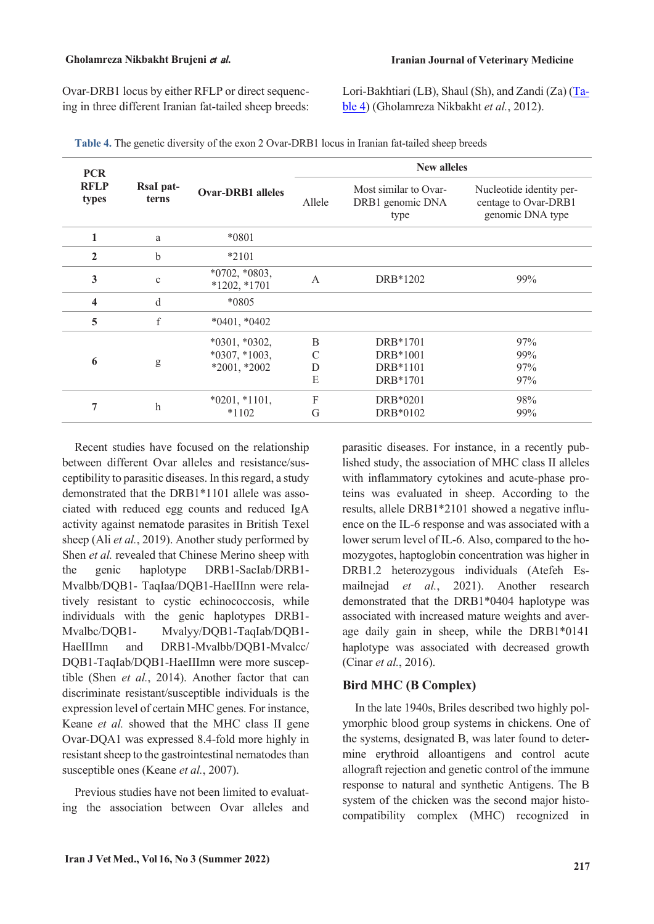Ovar-DRB1 locus by either RFLP or direct sequencing in three different Iranian fat-tailed sheep breeds: Lori-Bakhtiari (LB), Shaul (Sh), and Zandi (Za) [\(Ta](#page-6-0)[ble](#page-6-0) 4) (Gholamreza Nikbakht *et al.*, 2012).

| <b>PCR</b>           |                    |                                                      | <b>New alleles</b> |                                                   |                                                                      |  |  |
|----------------------|--------------------|------------------------------------------------------|--------------------|---------------------------------------------------|----------------------------------------------------------------------|--|--|
| <b>RFLP</b><br>types | RsaI pat-<br>terns | <b>Ovar-DRB1</b> alleles                             | Allele             | Most similar to Ovar-<br>DRB1 genomic DNA<br>type | Nucleotide identity per-<br>centage to Ovar-DRB1<br>genomic DNA type |  |  |
| 1                    | a                  | *0801                                                |                    |                                                   |                                                                      |  |  |
| $\mathbf{2}$         | $\mathbf b$        | *2101                                                |                    |                                                   |                                                                      |  |  |
| 3                    | $\mathbf{C}$       | $*0702, *0803,$<br>$*1202,*1701$                     | $\overline{A}$     | DRB*1202                                          | 99%                                                                  |  |  |
| 4                    | d                  | *0805                                                |                    |                                                   |                                                                      |  |  |
| 5                    | $\mathbf f$        | $*0401, *0402$                                       |                    |                                                   |                                                                      |  |  |
| 6                    | g                  | $*0301, *0302,$<br>$*0307, *1003,$<br>$*2001, *2002$ | B<br>C<br>D<br>E   | DRB*1701<br>DRB*1001<br>DRB*1101<br>DRB*1701      | 97%<br>99%<br>97%<br>97%                                             |  |  |
| 7                    | $\mathbf{h}$       | $*0201, *1101,$<br>$*1102$                           | F<br>G             | DRB*0201<br>DRB*0102                              | 98%<br>99%                                                           |  |  |

<span id="page-6-0"></span>**Table 4.** The genetic diversity of the exon 2 Ovar-DRB1 locus in Iranian fat-tailed sheep breeds

Recent studies have focused on the relationship between different Ovar alleles and resistance/susceptibility to parasitic diseases. In thisregard, a study demonstrated that the DRB1\*1101 allele was associated with reduced egg counts and reduced IgA activity against nematode parasites in British Texel sheep (Ali *et al.*, 2019). Another study performed by Shen *et al.* revealed that Chinese Merino sheep with the genic haplotype DRB1-SacIab/DRB1- Mvalbb/DQB1- TaqIaa/DQB1-HaeIIInn were relatively resistant to cystic echinococcosis, while individuals with the genic haplotypes DRB1- Mvalbc/DQB1- Mvalyy/DQB1-TaqIab/DQB1- HaeIIImn and DRB1-Mvalbb/DQB1-Mvalcc/ DQB1-TaqIab/DQB1-HaeIIImn were more susceptible (Shen *et al.*, 2014). Another factor that can discriminate resistant/susceptible individuals is the expression level of certain MHC genes. For instance, Keane *et al.* showed that the MHC class II gene Ovar-DQA1 was expressed 8.4-fold more highly in resistant sheep to the gastrointestinal nematodes than susceptible ones (Keane *et al.*, 2007).

Previous studies have not been limited to evaluating the association between Ovar alleles and parasitic diseases. For instance, in a recently published study, the association of MHC class II alleles with inflammatory cytokines and acute-phase proteins was evaluated in sheep. According to the results, allele DRB1\*2101 showed a negative influence on the IL-6 response and was associated with a lower serum level of IL-6. Also, compared to the homozygotes, haptoglobin concentration was higher in DRB1.2 heterozygous individuals (Atefeh Esmailnejad *et al.*, 2021). Another research demonstrated that the DRB1\*0404 haplotype was associated with increased mature weights and average daily gain in sheep, while the DRB1\*0141 haplotype was associated with decreased growth (Cinar *et al.*, 2016).

### **Bird MHC (B Complex)**

In the late 1940s, Briles described two highly polymorphic blood group systems in chickens. One of the systems, designated B, was later found to determine erythroid alloantigens and control acute allograft rejection and genetic control of the immune response to natural and synthetic Antigens. The B system of the chicken was the second major histocompatibility complex (MHC) recognized in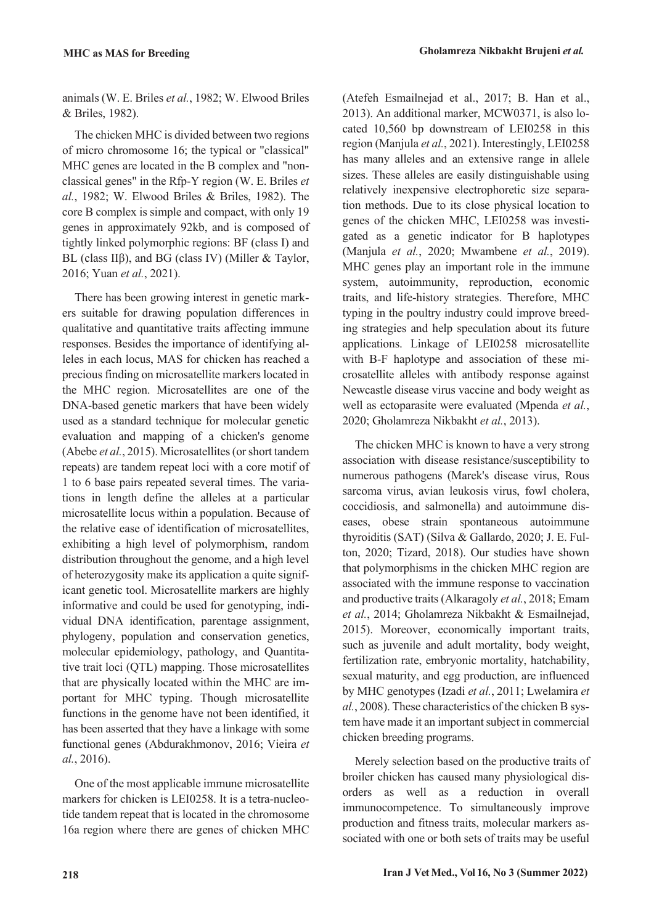animals (W. E. Briles *et al.*, 1982; W. Elwood Briles & Briles, 1982).

The chicken MHC is divided between two regions of micro chromosome 16; the typical or "classical" MHC genes are located in the B complex and "nonclassical genes" in the Rfp-Y region (W. E. Briles *et al.*, 1982; W. Elwood Briles & Briles, 1982). The core B complex is simple and compact, with only 19 genes in approximately 92kb, and is composed of tightly linked polymorphic regions: BF (class I) and BL (class IIβ), and BG (class IV) (Miller & Taylor, 2016; Yuan *et al.*, 2021).

There has been growing interest in genetic markers suitable for drawing population differences in qualitative and quantitative traits affecting immune responses. Besides the importance of identifying alleles in each locus, MAS for chicken has reached a precious finding on microsatellite markers located in the MHC region. Microsatellites are one of the DNA-based genetic markers that have been widely used as a standard technique for molecular genetic evaluation and mapping of a chicken's genome (Abebe *et al.*, 2015). Microsatellites (or short tandem repeats) are tandem repeat loci with a core motif of 1 to 6 base pairs repeated several times. The variations in length define the alleles at a particular microsatellite locus within a population. Because of the relative ease of identification of microsatellites, exhibiting a high level of polymorphism, random distribution throughout the genome, and a high level of heterozygosity make its application a quite significant genetic tool. Microsatellite markers are highly informative and could be used for genotyping, individual DNA identification, parentage assignment, phylogeny, population and conservation genetics, molecular epidemiology, pathology, and Quantitative trait loci (QTL) mapping. Those microsatellites that are physically located within the MHC are important for MHC typing. Though microsatellite functions in the genome have not been identified, it has been asserted that they have a linkage with some functional genes (Abdurakhmonov, 2016; Vieira *et al.*, 2016).

One of the most applicable immune microsatellite markers for chicken is LEI0258. It is a tetra-nucleotide tandem repeat that is located in the chromosome 16a region where there are genes of chicken MHC (Atefeh Esmailnejad et al., 2017; B. Han et al., 2013). An additional marker, MCW0371, is also located 10,560 bp downstream of LEI0258 in this region (Manjula *et al.*, 2021). Interestingly, LEI0258 has many alleles and an extensive range in allele sizes. These alleles are easily distinguishable using relatively inexpensive electrophoretic size separation methods. Due to its close physical location to genes of the chicken MHC, LEI0258 was investigated as a genetic indicator for B haplotypes (Manjula *et al.*, 2020; Mwambene *et al.*, 2019). MHC genes play an important role in the immune system, autoimmunity, reproduction, economic traits, and life-history strategies. Therefore, MHC typing in the poultry industry could improve breeding strategies and help speculation about its future applications. Linkage of LEI0258 microsatellite with B-F haplotype and association of these microsatellite alleles with antibody response against Newcastle disease virus vaccine and body weight as well as ectoparasite were evaluated (Mpenda *et al.*, 2020; Gholamreza Nikbakht *et al.*, 2013).

The chicken MHC is known to have a very strong association with disease resistance/susceptibility to numerous pathogens (Marek's disease virus, Rous sarcoma virus, avian leukosis virus, fowl cholera, coccidiosis, and salmonella) and autoimmune diseases, obese strain spontaneous autoimmune thyroiditis (SAT) (Silva & Gallardo, 2020; J. E. Fulton, 2020; Tizard, 2018). Our studies have shown that polymorphisms in the chicken MHC region are associated with the immune response to vaccination and productive traits (Alkaragoly *et al.*, 2018; Emam *et al.*, 2014; Gholamreza Nikbakht & Esmailnejad, 2015). Moreover, economically important traits, such as juvenile and adult mortality, body weight, fertilization rate, embryonic mortality, hatchability, sexual maturity, and egg production, are influenced by MHC genotypes (Izadi *et al.*, 2011; Lwelamira *et al.*, 2008). These characteristics of the chicken B system have made it an important subject in commercial chicken breeding programs.

Merely selection based on the productive traits of broiler chicken has caused many physiological disorders as well as a reduction in overall immunocompetence. To simultaneously improve production and fitness traits, molecular markers associated with one or both sets of traits may be useful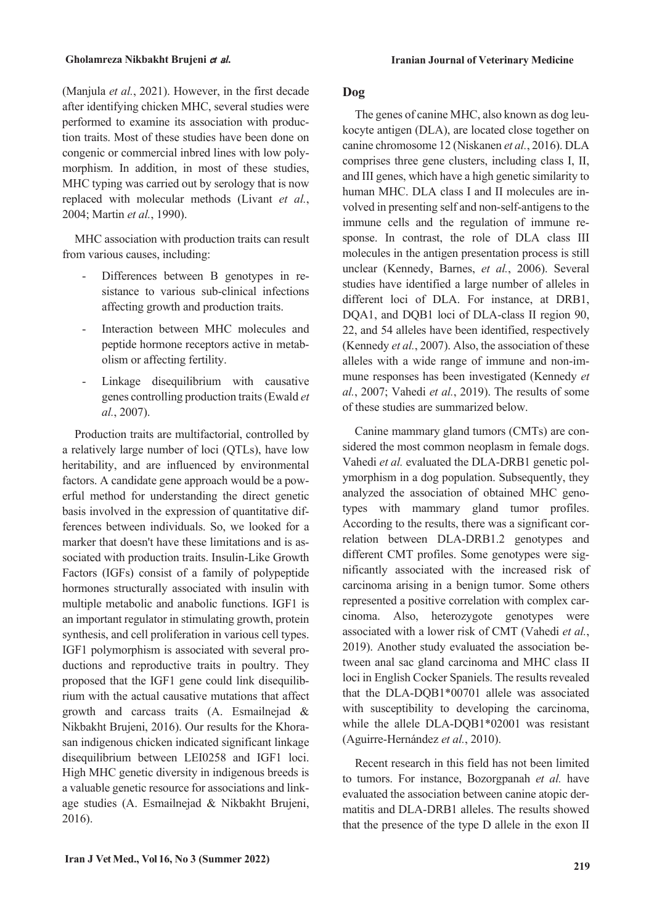(Manjula *et al.*, 2021). However, in the first decade after identifying chicken MHC, several studies were performed to examine its association with production traits. Most of these studies have been done on congenic or commercial inbred lines with low polymorphism. In addition, in most of these studies, MHC typing was carried out by serology that is now replaced with molecular methods (Livant *et al.*, 2004; Martin *et al.*, 1990).

MHC association with production traits can result from various causes, including:

- Differences between B genotypes in resistance to various sub-clinical infections affecting growth and production traits.
- Interaction between MHC molecules and peptide hormone receptors active in metabolism or affecting fertility.
- Linkage disequilibrium with causative genes controlling production traits(Ewald *et al.*, 2007).

Production traits are multifactorial, controlled by a relatively large number of loci (QTLs), have low heritability, and are influenced by environmental factors. A candidate gene approach would be a powerful method for understanding the direct genetic basis involved in the expression of quantitative differences between individuals. So, we looked for a marker that doesn't have these limitations and is associated with production traits. Insulin-Like Growth Factors (IGFs) consist of a family of polypeptide hormones structurally associated with insulin with multiple metabolic and anabolic functions. IGF1 is an important regulator in stimulating growth, protein synthesis, and cell proliferation in various cell types. IGF1 polymorphism is associated with several productions and reproductive traits in poultry. They proposed that the IGF1 gene could link disequilibrium with the actual causative mutations that affect growth and carcass traits (A. Esmailnejad & Nikbakht Brujeni, 2016). Our results for the Khorasan indigenous chicken indicated significant linkage disequilibrium between LEI0258 and IGF1 loci. High MHC genetic diversity in indigenous breeds is a valuable genetic resource for associations and linkage studies (A. Esmailnejad & Nikbakht Brujeni, 2016).

## **Dog**

The genes of canine MHC, also known as dog leukocyte antigen (DLA), are located close together on canine chromosome 12 (Niskanen *et al.*, 2016). DLA comprises three gene clusters, including class I, II, and III genes, which have a high genetic similarity to human MHC. DLA class I and II molecules are involved in presenting self and non-self-antigens to the immune cells and the regulation of immune response. In contrast, the role of DLA class III molecules in the antigen presentation process is still unclear (Kennedy, Barnes, *et al.*, 2006). Several studies have identified a large number of alleles in different loci of DLA. For instance, at DRB1, DQA1, and DQB1 loci of DLA-class II region 90, 22, and 54 alleles have been identified, respectively (Kennedy *et al.*, 2007). Also, the association of these alleles with a wide range of immune and non-immune responses has been investigated (Kennedy *et al.*, 2007; Vahedi *et al.*, 2019). The results of some of these studies are summarized below.

Canine mammary gland tumors (CMTs) are considered the most common neoplasm in female dogs. Vahedi *et al.* evaluated the DLA-DRB1 genetic polymorphism in a dog population. Subsequently, they analyzed the association of obtained MHC genotypes with mammary gland tumor profiles. According to the results, there was a significant correlation between DLA-DRB1.2 genotypes and different CMT profiles. Some genotypes were significantly associated with the increased risk of carcinoma arising in a benign tumor. Some others represented a positive correlation with complex carcinoma. Also, heterozygote genotypes were associated with a lower risk of CMT (Vahedi *et al.*, 2019). Another study evaluated the association between anal sac gland carcinoma and MHC class II loci in English Cocker Spaniels. The results revealed that the DLA-DQB1\*00701 allele was associated with susceptibility to developing the carcinoma, while the allele DLA-DQB1\*02001 was resistant (Aguirre-Hernández *et al.*, 2010).

Recent research in this field has not been limited to tumors. For instance, Bozorgpanah *et al.* have evaluated the association between canine atopic dermatitis and DLA-DRB1 alleles. The results showed that the presence of the type D allele in the exon II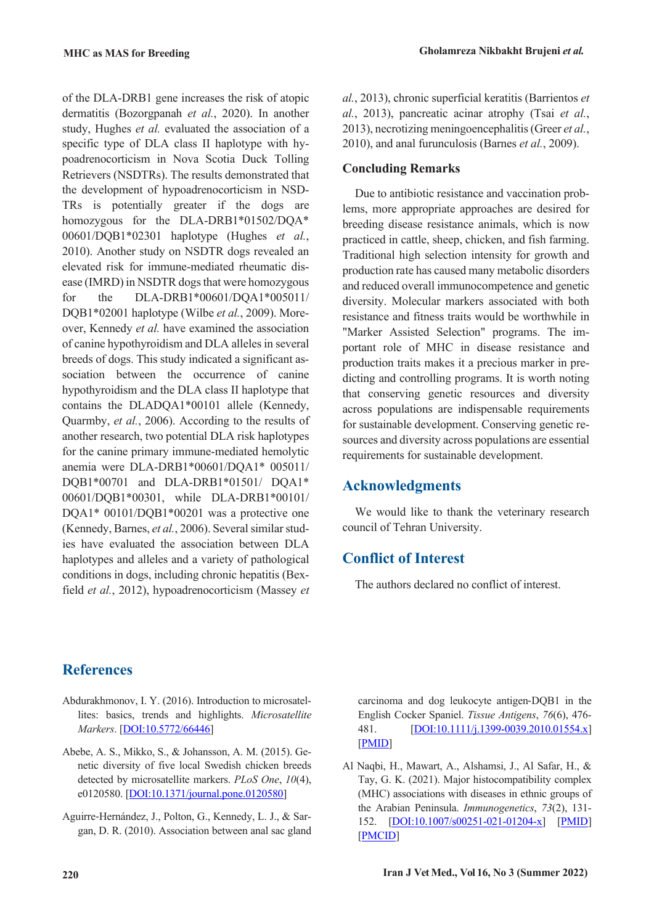of the DLA-DRB1 gene increases the risk of atopic dermatitis (Bozorgpanah *et al.*, 2020). In another study, Hughes *et al.* evaluated the association of a specific type of DLA class II haplotype with hypoadrenocorticism in Nova Scotia Duck Tolling Retrievers (NSDTRs). The results demonstrated that the development of hypoadrenocorticism in NSD-TRs is potentially greater if the dogs are homozygous for the DLA-DRB1\*01502/DQA\* 00601/DQB1\*02301 haplotype (Hughes *et al.*, 2010). Another study on NSDTR dogs revealed an elevated risk for immune-mediated rheumatic disease (IMRD) in NSDTR dogs that were homozygous for the DLA-DRB1\*00601/DQA1\*005011/ DQB1\*02001 haplotype (Wilbe *et al.*, 2009). Moreover, Kennedy *et al.* have examined the association of canine hypothyroidism and DLA allelesin several breeds of dogs. This study indicated a significant association between the occurrence of canine hypothyroidism and the DLA class II haplotype that contains the DLADQA1\*00101 allele (Kennedy, Quarmby, *et al.*, 2006). According to the results of another research, two potential DLA risk haplotypes for the canine primary immune-mediated hemolytic anemia were DLA-DRB1\*00601/DQA1\* 005011/ DQB1\*00701 and DLA-DRB1\*01501/ DQA1\* 00601/DQB1\*00301, while DLA-DRB1\*00101/ DQA1\* 00101/DQB1\*00201 was a protective one (Kennedy, Barnes, et al., 2006). Several similar studies have evaluated the association between DLA haplotypes and alleles and a variety of pathological conditions in dogs, including chronic hepatitis (Bexfield *et al.*, 2012), hypoadrenocorticism (Massey *et*

*al.*, 2013), chronic superficial keratitis (Barrientos *et al.*, 2013), pancreatic acinar atrophy (Tsai *et al.*, 2013), necrotizing meningoencephalitis(Greer *et al.*, 2010), and anal furunculosis (Barnes *et al.*, 2009).

# **Concluding Remarks**

Due to antibiotic resistance and vaccination problems, more appropriate approaches are desired for breeding disease resistance animals, which is now practiced in cattle, sheep, chicken, and fish farming. Traditional high selection intensity for growth and production rate has caused many metabolic disorders and reduced overall immunocompetence and genetic diversity. Molecular markers associated with both resistance and fitness traits would be worthwhile in "Marker Assisted Selection" programs. The important role of MHC in disease resistance and production traits makes it a precious marker in predicting and controlling programs. It is worth noting that conserving genetic resources and diversity across populations are indispensable requirements for sustainable development. Conserving genetic resources and diversity across populations are essential requirements for sustainable development.

# **Acknowledgments**

We would like to thank the veterinary research council of Tehran University.

# **Conflict of Interest**

The authors declared no conflict of interest.

# **References**

- Abdurakhmonov, I. Y. (2016). Introduction to microsatellites: basics, trends and highlights. *Microsatellite Markers*. [DOI:10.5772/66446]
- Abebe, A. S., Mikko, S., & Johansson, A. M. (2015). Genetic diversity of five local Swedish chicken breeds detected by microsatellite markers. *PLoS One*, *10*(4), e0120580. [DOI:10.1371/journal.pone.0120580]
- Aguirre‐Hernández, J., Polton, G., Kennedy, L. J., & Sargan, D. R. (2010). Association between anal sac gland

carcinoma and dog leukocyte antigen‐DQB1 in the English Cocker Spaniel. *Tissue Antigens*, *76*(6), 476- 481. [DOI:10.1111/j.1399-0039.2010.01554.x] [PMID]

Al Naqbi, H., Mawart, A., Alshamsi, J., Al Safar, H., & Tay, G. K. (2021). Major histocompatibility complex (MHC) associations with diseases in ethnic groups of the Arabian Peninsula. *Immunogenetics*, *73*(2), 131- 152. [DOI:10.1007/s00251-021-01204-x] [PMID] [PMCID]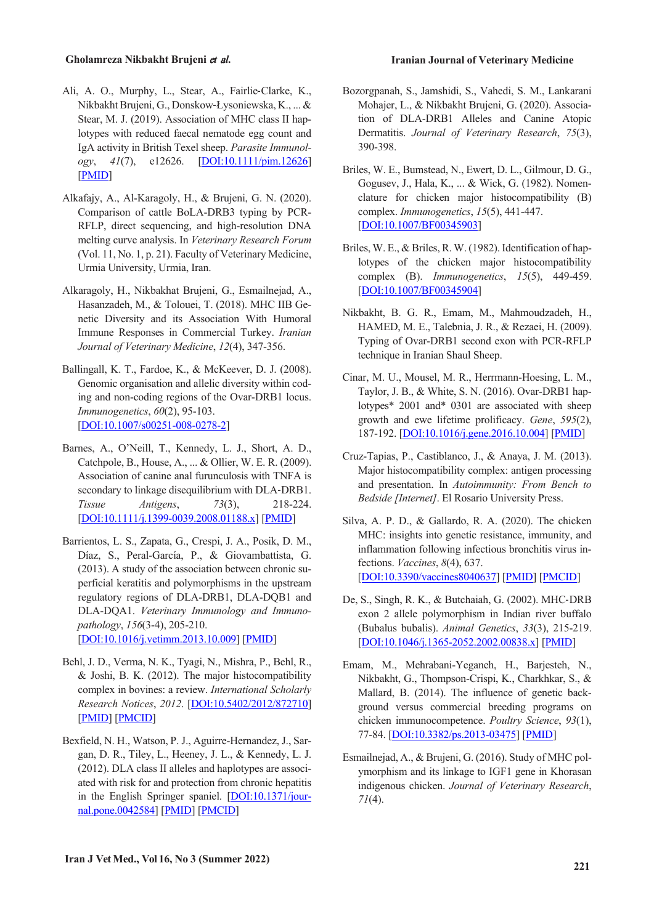- Ali, A. O., Murphy, L., Stear, A., Fairlie‐Clarke, K., Nikbakht Brujeni, G., Donskow-Łysoniewska, K., ... & Stear, M. J. (2019). Association of MHC class II haplotypes with reduced faecal nematode egg count and IgA activity in British Texel sheep. *Parasite Immunology*, *41*(7), e12626. [DOI:10.1111/pim.12626] [PMID]
- Alkafajy, A., Al-Karagoly, H., & Brujeni, G. N. (2020). Comparison of cattle BoLA-DRB3 typing by PCR-RFLP, direct sequencing, and high-resolution DNA melting curve analysis. In *Veterinary Research Forum* (Vol. 11, No. 1, p. 21). Faculty of Veterinary Medicine, Urmia University, Urmia, Iran.
- Alkaragoly, H., Nikbakhat Brujeni, G., Esmailnejad, A., Hasanzadeh, M., & Tolouei, T. (2018). MHC IIB Genetic Diversity and its Association With Humoral Immune Responses in Commercial Turkey. *Iranian Journal of Veterinary Medicine*, *12*(4), 347-356.
- Ballingall, K. T., Fardoe, K., & McKeever, D. J. (2008). Genomic organisation and allelic diversity within coding and non-coding regions of the Ovar-DRB1 locus. *Immunogenetics*, *60*(2), 95-103. [DOI:10.1007/s00251-008-0278-2]
- Barnes, A., O'Neill, T., Kennedy, L. J., Short, A. D., Catchpole, B., House, A., ... & Ollier, W. E. R. (2009). Association of canine anal furunculosis with TNFA is secondary to linkage disequilibrium with DLA‐DRB1. *Tissue Antigens*, *73*(3), 218-224. [DOI:10.1111/j.1399-0039.2008.01188.x] [PMID]
- Barrientos, L. S., Zapata, G., Crespi, J. A., Posik, D. M., Díaz, S., Peral-García, P., & Giovambattista, G. (2013). A study of the association between chronic superficial keratitis and polymorphisms in the upstream regulatory regions of DLA-DRB1, DLA-DQB1 and DLA-DQA1. *Veterinary Immunology and Immunopathology*, *156*(3-4), 205-210. [DOI:10.1016/j.vetimm.2013.10.009] [PMID]
- Behl, J. D., Verma, N. K., Tyagi, N., Mishra, P., Behl, R., & Joshi, B. K. (2012). The major histocompatibility complex in bovines: a review. *International Scholarly Research Notices*, *2012*. [DOI:10.5402/2012/872710] [PMID] [PMCID]
- Bexfield, N. H., Watson, P. J., Aguirre-Hernandez, J., Sargan, D. R., Tiley, L., Heeney, J. L., & Kennedy, L. J. (2012). DLA class II alleles and haplotypes are associated with risk for and protection from chronic hepatitis in the English Springer spaniel. [DOI:10.1371/journal.pone.0042584] [PMID] [PMCID]
- Bozorgpanah, S., Jamshidi, S., Vahedi, S. M., Lankarani Mohajer, L., & Nikbakht Brujeni, G. (2020). Association of DLA-DRB1 Alleles and Canine Atopic Dermatitis. *Journal of Veterinary Research*, *75*(3), 390-398.
- Briles, W. E., Bumstead, N., Ewert, D. L., Gilmour, D. G., Gogusev, J., Hala, K., ... & Wick, G. (1982). Nomenclature for chicken major histocompatibility (B) complex. *Immunogenetics*, *15*(5), 441-447. [DOI:10.1007/BF00345903]
- Briles, W. E., & Briles, R. W. (1982). Identification of haplotypes of the chicken major histocompatibility complex (B). *Immunogenetics*, *15*(5), 449-459. [DOI:10.1007/BF00345904]
- Nikbakht, B. G. R., Emam, M., Mahmoudzadeh, H., HAMED, M. E., Talebnia, J. R., & Rezaei, H. (2009). Typing of Ovar-DRB1 second exon with PCR-RFLP technique in Iranian Shaul Sheep.
- Cinar, M. U., Mousel, M. R., Herrmann-Hoesing, L. M., Taylor, J. B., & White, S. N. (2016). Ovar-DRB1 haplotypes\* 2001 and\* 0301 are associated with sheep growth and ewe lifetime prolificacy. *Gene*, *595*(2), 187-192. [DOI:10.1016/j.gene.2016.10.004] [PMID]
- Cruz-Tapias, P., Castiblanco, J., & Anaya, J. M. (2013). Major histocompatibility complex: antigen processing and presentation. In *Autoimmunity: From Bench to Bedside [Internet]*. El Rosario University Press.
- Silva, A. P. D., & Gallardo, R. A. (2020). The chicken MHC: insights into genetic resistance, immunity, and inflammation following infectious bronchitis virus infections. *Vaccines*, *8*(4), 637. [DOI:10.3390/vaccines8040637] [PMID] [PMCID]
- De, S., Singh, R. K., & Butchaiah, G. (2002). MHC‐DRB exon 2 allele polymorphism in Indian river buffalo (Bubalus bubalis). *Animal Genetics*, *33*(3), 215-219. [DOI:10.1046/j.1365-2052.2002.00838.x] [PMID]
- Emam, M., Mehrabani-Yeganeh, H., Barjesteh, N., Nikbakht, G., Thompson-Crispi, K., Charkhkar, S., & Mallard, B. (2014). The influence of genetic background versus commercial breeding programs on chicken immunocompetence. *Poultry Science*, *93*(1), 77-84. [DOI:10.3382/ps.2013-03475] [PMID]
- Esmailnejad, A., & Brujeni, G. (2016). Study of MHC polymorphism and its linkage to IGF1 gene in Khorasan indigenous chicken. *Journal of Veterinary Research*, *71*(4).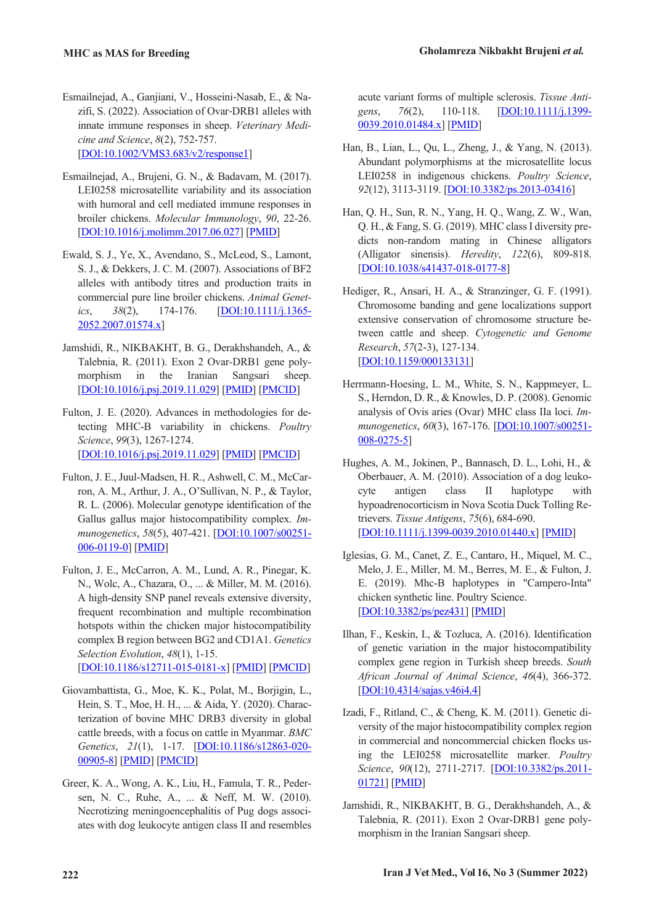- Esmailnejad, A., Ganjiani, V., Hosseini‐Nasab, E., & Nazifi, S. (2022). Association of Ovar‐DRB1 alleles with innate immune responses in sheep. *Veterinary Medicine and Science*, *8*(2), 752-757. [DOI:10.1002/VMS3.683/v2/response1]
- Esmailnejad, A., Brujeni, G. N., & Badavam, M. (2017). LEI0258 microsatellite variability and its association with humoral and cell mediated immune responses in broiler chickens. *Molecular Immunology*, *90*, 22-26. [DOI:10.1016/j.molimm.2017.06.027] [PMID]
- Ewald, S. J., Ye, X., Avendano, S., McLeod, S., Lamont, S. J., & Dekkers, J. C. M. (2007). Associations of BF2 alleles with antibody titres and production traits in commercial pure line broiler chickens. *Animal Genetics*, *38*(2), 174-176. [DOI:10.1111/j.1365- 2052.2007.01574.x]
- Jamshidi, R., NIKBAKHT, B. G., Derakhshandeh, A., & Talebnia, R. (2011). Exon 2 Ovar-DRB1 gene polymorphism in the Iranian Sangsari sheep. [DOI:10.1016/j.psj.2019.11.029] [PMID] [PMCID]
- Fulton, J. E. (2020). Advances in methodologies for detecting MHC-B variability in chickens. *Poultry Science*, *99*(3), 1267-1274. [DOI:10.1016/j.psj.2019.11.029] [PMID] [PMCID]
- Fulton, J. E., Juul-Madsen, H. R., Ashwell, C. M., McCarron, A. M., Arthur, J. A., O'Sullivan, N. P., & Taylor, R. L. (2006). Molecular genotype identification of the Gallus gallus major histocompatibility complex. *Immunogenetics*, *58*(5), 407-421. [DOI:10.1007/s00251- 006-0119-0] [PMID]
- Fulton, J. E., McCarron, A. M., Lund, A. R., Pinegar, K. N., Wolc, A., Chazara, O., ... & Miller, M. M. (2016). A high-density SNP panel reveals extensive diversity, frequent recombination and multiple recombination hotspots within the chicken major histocompatibility complex B region between BG2 and CD1A1. *Genetics Selection Evolution*, *48*(1), 1-15. [DOI:10.1186/s12711-015-0181-x] [PMID] [PMCID]
- Giovambattista, G., Moe, K. K., Polat, M., Borjigin, L., Hein, S. T., Moe, H. H., ... & Aida, Y. (2020). Characterization of bovine MHC DRB3 diversity in global cattle breeds, with a focus on cattle in Myanmar. *BMC Genetics*, *21*(1), 1-17. [DOI:10.1186/s12863-020- 00905-8] [PMID] [PMCID]
- Greer, K. A., Wong, A. K., Liu, H., Famula, T. R., Pedersen, N. C., Ruhe, A., ... & Neff, M. W. (2010). Necrotizing meningoencephalitis of Pug dogs associates with dog leukocyte antigen class II and resembles

acute variant forms of multiple sclerosis. *Tissue Antigens*, *76*(2), 110-118. [DOI:10.1111/j.1399- 0039.2010.01484.x] [PMID]

- Han, B., Lian, L., Qu, L., Zheng, J., & Yang, N. (2013). Abundant polymorphisms at the microsatellite locus LEI0258 in indigenous chickens. *Poultry Science*, *92*(12), 3113-3119. [DOI:10.3382/ps.2013-03416]
- Han, Q. H., Sun, R. N., Yang, H. Q., Wang, Z. W., Wan, Q. H., & Fang, S. G. (2019). MHC class I diversity predicts non-random mating in Chinese alligators (Alligator sinensis). *Heredity*, *122*(6), 809-818. [DOI:10.1038/s41437-018-0177-8]
- Hediger, R., Ansari, H. A., & Stranzinger, G. F. (1991). Chromosome banding and gene localizations support extensive conservation of chromosome structure between cattle and sheep. *Cytogenetic and Genome Research*, *57*(2-3), 127-134. [DOI:10.1159/000133131]
- Herrmann-Hoesing, L. M., White, S. N., Kappmeyer, L. S., Herndon, D. R., & Knowles, D. P. (2008). Genomic analysis of Ovis aries (Ovar) MHC class IIa loci. *Immunogenetics*, *60*(3), 167-176. [DOI:10.1007/s00251- 008-0275-5]
- Hughes, A. M., Jokinen, P., Bannasch, D. L., Lohi, H., & Oberbauer, A. M. (2010). Association of a dog leukocyte antigen class II haplotype with hypoadrenocorticism in Nova Scotia Duck Tolling Retrievers. *Tissue Antigens*, *75*(6), 684-690. [DOI:10.1111/j.1399-0039.2010.01440.x] [PMID]
- Iglesias, G. M., Canet, Z. E., Cantaro, H., Miquel, M. C., Melo, J. E., Miller, M. M., Berres, M. E., & Fulton, J. E. (2019). Mhc-B haplotypes in "Campero-Inta" chicken synthetic line. Poultry Science. [DOI:10.3382/ps/pez431] [PMID]
- Ilhan, F., Keskin, I., & Tozluca, A. (2016). Identification of genetic variation in the major histocompatibility complex gene region in Turkish sheep breeds. *South African Journal of Animal Science*, *46*(4), 366-372. [DOI:10.4314/sajas.v46i4.4]
- Izadi, F., Ritland, C., & Cheng, K. M. (2011). Genetic diversity of the major histocompatibility complex region in commercial and noncommercial chicken flocks using the LEI0258 microsatellite marker. *Poultry Science*, *90*(12), 2711-2717. [DOI:10.3382/ps.2011- 01721] [PMID]
- Jamshidi, R., NIKBAKHT, B. G., Derakhshandeh, A., & Talebnia, R. (2011). Exon 2 Ovar-DRB1 gene polymorphism in the Iranian Sangsari sheep.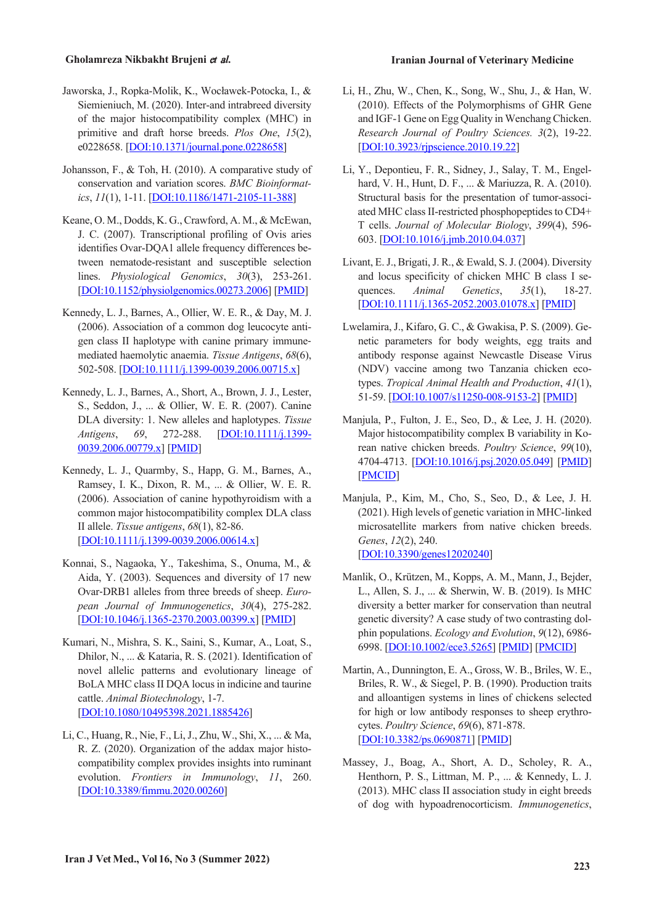- Jaworska, J., Ropka-Molik, K., Wocławek-Potocka, I., & Siemieniuch, M. (2020). Inter-and intrabreed diversity of the major histocompatibility complex (MHC) in primitive and draft horse breeds. *Plos One*, *15*(2), e0228658. [DOI:10.1371/journal.pone.0228658]
- Johansson, F., & Toh, H. (2010). A comparative study of conservation and variation scores. *BMC Bioinformatics*, *11*(1), 1-11. [DOI:10.1186/1471-2105-11-388]
- Keane, O. M., Dodds, K. G.,Crawford, A. M., & McEwan, J. C. (2007). Transcriptional profiling of Ovis aries identifies Ovar-DQA1 allele frequency differences between nematode-resistant and susceptible selection lines. *Physiological Genomics*, *30*(3), 253-261. [DOI:10.1152/physiolgenomics.00273.2006] [PMID]
- Kennedy, L. J., Barnes, A., Ollier, W. E. R., & Day, M. J. (2006). Association of a common dog leucocyte antigen class II haplotype with canine primary immune‐ mediated haemolytic anaemia. *Tissue Antigens*, *68*(6), 502-508. [DOI:10.1111/j.1399-0039.2006.00715.x]
- Kennedy, L. J., Barnes, A., Short, A., Brown, J. J., Lester, S., Seddon, J., ... & Ollier, W. E. R. (2007). Canine DLA diversity: 1. New alleles and haplotypes. *Tissue Antigens*, *69*, 272-288. [DOI:10.1111/j.1399- 0039.2006.00779.x] [PMID]
- Kennedy, L. J., Quarmby, S., Happ, G. M., Barnes, A., Ramsey, I. K., Dixon, R. M., ... & Ollier, W. E. R. (2006). Association of canine hypothyroidism with a common major histocompatibility complex DLA class II allele. *Tissue antigens*, *68*(1), 82-86. [DOI:10.1111/j.1399-0039.2006.00614.x]
- Konnai, S., Nagaoka, Y., Takeshima, S., Onuma, M., & Aida, Y. (2003). Sequences and diversity of 17 new Ovar‐DRB1 alleles from three breeds of sheep. *European Journal of Immunogenetics*, *30*(4), 275-282. [DOI:10.1046/j.1365-2370.2003.00399.x] [PMID]
- Kumari, N., Mishra, S. K., Saini, S., Kumar, A., Loat, S., Dhilor, N., ... & Kataria, R. S. (2021). Identification of novel allelic patterns and evolutionary lineage of BoLA MHC class II DOA locus in indicine and taurine cattle. *Animal Biotechnology*, 1-7. [DOI:10.1080/10495398.2021.1885426]
- Li, C., Huang, R., Nie, F., Li,J., Zhu, W., Shi, X., ... & Ma, R. Z. (2020). Organization of the addax major histocompatibility complex provides insights into ruminant evolution. *Frontiers in Immunology*, *11*, 260. [DOI:10.3389/fimmu.2020.00260]

- Li, H., Zhu, W., Chen, K., Song, W., Shu, J., & Han, W. (2010). Effects of the Polymorphisms of GHR Gene and IGF-1 Gene on Egg Quality in Wenchang Chicken. *Research Journal of Poultry Sciences. 3*(2), 19-22. [DOI:10.3923/rjpscience.2010.19.22]
- Li, Y., Depontieu, F. R., Sidney, J., Salay, T. M., Engelhard, V. H., Hunt, D. F., ... & Mariuzza, R. A. (2010). Structural basis for the presentation of tumor-associated MHC class II-restricted phosphopeptides to CD4+ T cells. *Journal of Molecular Biology*, *399*(4), 596- 603. [DOI:10.1016/j.jmb.2010.04.037]
- Livant, E.J., Brigati,J. R., & Ewald, S.J. (2004). Diversity and locus specificity of chicken MHC B class I sequences. *Animal Genetics*, *35*(1), 18-27. [DOI:10.1111/j.1365-2052.2003.01078.x] [PMID]
- Lwelamira, J., Kifaro, G. C., & Gwakisa, P. S. (2009). Genetic parameters for body weights, egg traits and antibody response against Newcastle Disease Virus (NDV) vaccine among two Tanzania chicken ecotypes. *Tropical Animal Health and Production*, *41*(1), 51-59. [DOI:10.1007/s11250-008-9153-2] [PMID]
- Manjula, P., Fulton, J. E., Seo, D., & Lee, J. H. (2020). Major histocompatibility complex B variability in Korean native chicken breeds. *Poultry Science*, *99*(10), 4704-4713. [DOI:10.1016/j.psj.2020.05.049] [PMID] [PMCID]
- Manjula, P., Kim, M., Cho, S., Seo, D., & Lee, J. H. (2021). High levels of genetic variation in MHC-linked microsatellite markers from native chicken breeds. *Genes*, *12*(2), 240. [DOI:10.3390/genes12020240]
- Manlik, O., Krützen, M., Kopps, A. M., Mann, J., Bejder, L., Allen, S. J., ... & Sherwin, W. B. (2019). Is MHC diversity a better marker for conservation than neutral genetic diversity? A case study of two contrasting dolphin populations. *Ecology and Evolution*, *9*(12), 6986- 6998. [DOI:10.1002/ece3.5265] [PMID] [PMCID]
- Martin, A., Dunnington, E. A., Gross, W. B., Briles, W. E., Briles, R. W., & Siegel, P. B. (1990). Production traits and alloantigen systems in lines of chickens selected for high or low antibody responses to sheep erythrocytes. *Poultry Science*, *69*(6), 871-878. [DOI:10.3382/ps.0690871] [PMID]
- Massey, J., Boag, A., Short, A. D., Scholey, R. A., Henthorn, P. S., Littman, M. P., ... & Kennedy, L. J. (2013). MHC class II association study in eight breeds of dog with hypoadrenocorticism. *Immunogenetics*,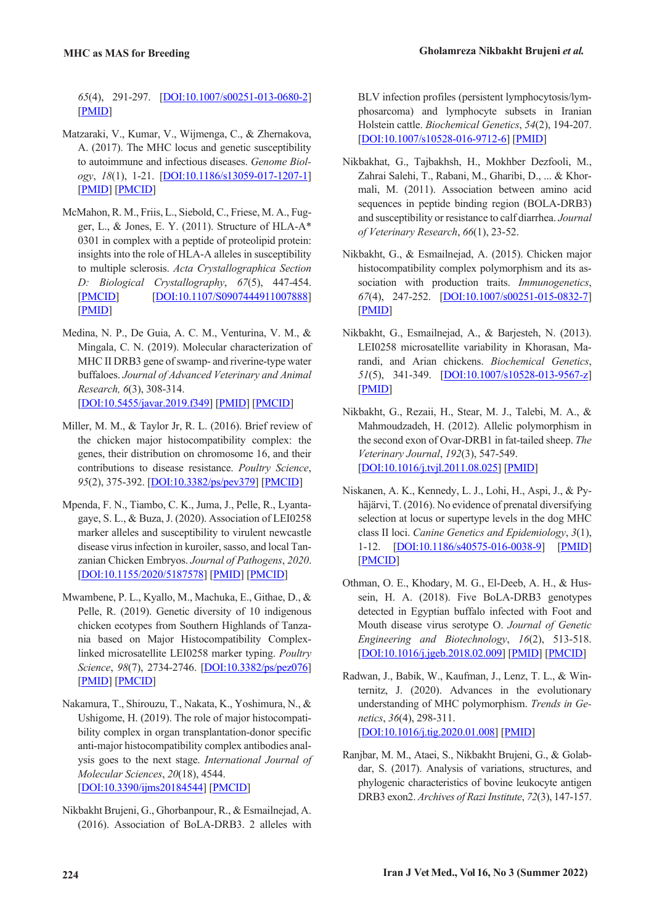*65*(4), 291-297. [DOI:10.1007/s00251-013-0680-2] [PMID]

- Matzaraki, V., Kumar, V., Wijmenga, C., & Zhernakova, A. (2017). The MHC locus and genetic susceptibility to autoimmune and infectious diseases. *Genome Biology*, *18*(1), 1-21. [DOI:10.1186/s13059-017-1207-1] [PMID] [PMCID]
- McMahon, R. M., Friis, L., Siebold, C., Friese, M. A., Fugger, L., & Jones, E. Y. (2011). Structure of HLA-A\* 0301 in complex with a peptide of proteolipid protein: insights into the role of HLA-A alleles in susceptibility to multiple sclerosis. *Acta Crystallographica Section D: Biological Crystallography*, *67*(5), 447-454. [PMCID] [DOI:10.1107/S0907444911007888] [PMID]
- Medina, N. P., De Guia, A. C. M., Venturina, V. M., & Mingala, C. N. (2019). Molecular characterization of MHC II DRB3 gene of swamp- and riverine-type water buffaloes. *Journal of Advanced Veterinary and Animal Research, 6*(3), 308-314. [DOI:10.5455/javar.2019.f349] [PMID] [PMCID]
- Miller, M. M., & Taylor Jr, R. L. (2016). Brief review of the chicken major histocompatibility complex: the genes, their distribution on chromosome 16, and their contributions to disease resistance. *Poultry Science*, *95*(2), 375-392. [DOI:10.3382/ps/pev379] [PMCID]
- Mpenda, F. N., Tiambo, C. K., Juma, J., Pelle, R., Lyantagaye, S. L., & Buza, J. (2020). Association of LEI0258 marker alleles and susceptibility to virulent newcastle disease virus infection in kuroiler, sasso, and local Tanzanian Chicken Embryos. *Journal of Pathogens*, *2020*. [DOI:10.1155/2020/5187578] [PMID] [PMCID]
- Mwambene, P. L., Kyallo, M., Machuka, E., Githae, D., & Pelle, R. (2019). Genetic diversity of 10 indigenous chicken ecotypes from Southern Highlands of Tanzania based on Major Histocompatibility Complexlinked microsatellite LEI0258 marker typing. *Poultry Science*, *98*(7), 2734-2746. [DOI:10.3382/ps/pez076] [PMID] [PMCID]
- Nakamura, T., Shirouzu, T., Nakata, K., Yoshimura, N., & Ushigome, H. (2019). The role of major histocompatibility complex in organ transplantation-donor specific anti-major histocompatibility complex antibodies analysis goes to the next stage. *International Journal of Molecular Sciences*, *20*(18), 4544. [DOI:10.3390/ijms20184544] [PMCID]
- Nikbakht Brujeni, G., Ghorbanpour, R., & Esmailnejad, A. (2016). Association of BoLA-DRB3. 2 alleles with

BLV infection profiles (persistent lymphocytosis/lymphosarcoma) and lymphocyte subsets in Iranian Holstein cattle. *Biochemical Genetics*, *54*(2), 194-207. [DOI:10.1007/s10528-016-9712-6] [PMID]

- Nikbakhat, G., Tajbakhsh, H., Mokhber Dezfooli, M., Zahrai Salehi, T., Rabani, M., Gharibi, D., ... & Khormali, M. (2011). Association between amino acid sequences in peptide binding region (BOLA-DRB3) and susceptibility or resistance to calf diarrhea. *Journal of Veterinary Research*, *66*(1), 23-52.
- Nikbakht, G., & Esmailnejad, A. (2015). Chicken major histocompatibility complex polymorphism and its association with production traits. *Immunogenetics*, *67*(4), 247-252. [DOI:10.1007/s00251-015-0832-7] [PMID]
- Nikbakht, G., Esmailnejad, A., & Barjesteh, N. (2013). LEI0258 microsatellite variability in Khorasan, Marandi, and Arian chickens. *Biochemical Genetics*, *51*(5), 341-349. [DOI:10.1007/s10528-013-9567-z] [PMID]
- Nikbakht, G., Rezaii, H., Stear, M. J., Talebi, M. A., & Mahmoudzadeh, H. (2012). Allelic polymorphism in the second exon of Ovar-DRB1 in fat-tailed sheep. *The Veterinary Journal*, *192*(3), 547-549. [DOI:10.1016/j.tvjl.2011.08.025] [PMID]
- Niskanen, A. K., Kennedy, L. J., Lohi, H., Aspi, J., & Pyhäjärvi, T. (2016). No evidence of prenatal diversifying selection at locus or supertype levels in the dog MHC class II loci. *Canine Genetics and Epidemiology*, *3*(1), 1-12. [DOI:10.1186/s40575-016-0038-9] [PMID] [PMCID]
- Othman, O. E., Khodary, M. G., El-Deeb, A. H., & Hussein, H. A. (2018). Five BoLA-DRB3 genotypes detected in Egyptian buffalo infected with Foot and Mouth disease virus serotype O. *Journal of Genetic Engineering and Biotechnology*, *16*(2), 513-518. [DOI:10.1016/j.jgeb.2018.02.009] [PMID] [PMCID]
- Radwan, J., Babik, W., Kaufman, J., Lenz, T. L., & Winternitz, J. (2020). Advances in the evolutionary understanding of MHC polymorphism. *Trends in Genetics*, *36*(4), 298-311. [DOI:10.1016/j.tig.2020.01.008] [PMID]
- Ranjbar, M. M., Ataei, S., Nikbakht Brujeni, G., & Golabdar, S. (2017). Analysis of variations, structures, and phylogenic characteristics of bovine leukocyte antigen DRB3 exon2. *Archives of Razi Institute*, *72*(3), 147-157.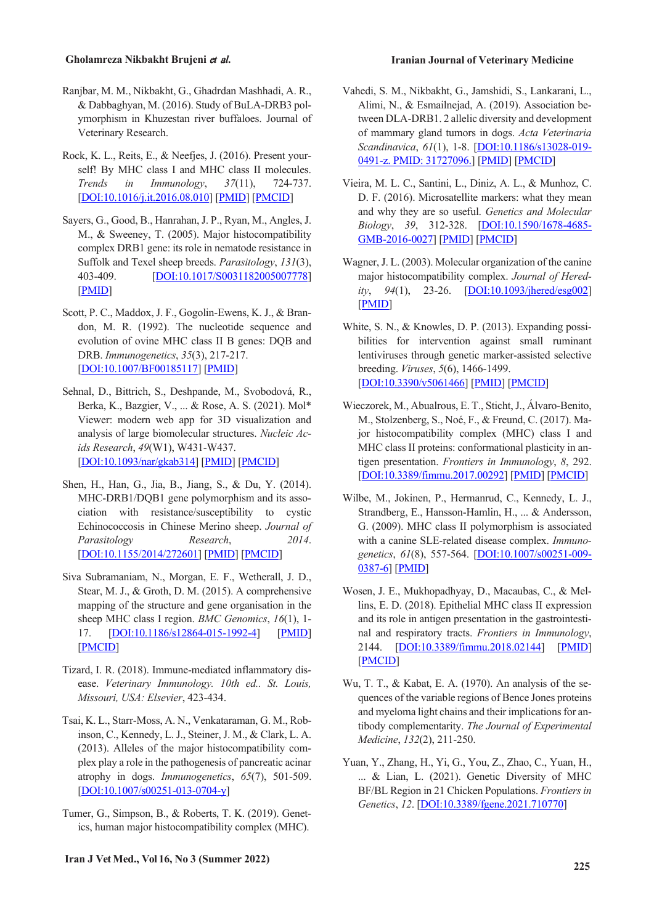- **Gholamreza Nikbakht Brujeni** <sup>e</sup>*t* <sup>a</sup>*l.* **Iranian Journal of Veterinary Medicine**
- Ranjbar, M. M., Nikbakht, G., Ghadrdan Mashhadi, A. R., & Dabbaghyan, M. (2016). Study of BuLA-DRB3 polymorphism in Khuzestan river buffaloes. Journal of Veterinary Research.
- Rock, K. L., Reits, E., & Neefjes, J. (2016). Present yourself! By MHC class I and MHC class II molecules. *Trends in Immunology*, *37*(11), 724-737. [DOI:10.1016/j.it.2016.08.010] [PMID] [PMCID]
- Sayers, G., Good, B., Hanrahan, J. P., Ryan, M., Angles, J. M., & Sweeney, T. (2005). Major histocompatibility complex DRB1 gene: its role in nematode resistance in Suffolk and Texel sheep breeds. *Parasitology*, *131*(3), 403-409. [DOI:10.1017/S0031182005007778] [PMID]
- Scott, P. C., Maddox, J. F., Gogolin-Ewens, K. J., & Brandon, M. R. (1992). The nucleotide sequence and evolution of ovine MHC class II B genes: DQB and DRB. *Immunogenetics*, *35*(3), 217-217. [DOI:10.1007/BF00185117] [PMID]
- Sehnal, D., Bittrich, S., Deshpande, M., Svobodová, R., Berka, K., Bazgier, V., ... & Rose, A. S. (2021). Mol\* Viewer: modern web app for 3D visualization and analysis of large biomolecular structures. *Nucleic Acids Research*, *49*(W1), W431-W437. [DOI:10.1093/nar/gkab314] [PMID] [PMCID]
- Shen, H., Han, G., Jia, B., Jiang, S., & Du, Y. (2014). MHC-DRB1/DQB1 gene polymorphism and its association with resistance/susceptibility to cystic Echinococcosis in Chinese Merino sheep. *Journal of Parasitology Research*, *2014*. [DOI:10.1155/2014/272601] [PMID] [PMCID]
- Siva Subramaniam, N., Morgan, E. F., Wetherall, J. D., Stear, M. J., & Groth, D. M. (2015). A comprehensive mapping of the structure and gene organisation in the sheep MHC class I region. *BMC Genomics*, *16*(1), 1- 17. [DOI:10.1186/s12864-015-1992-4] [PMID] [PMCID]
- Tizard, I. R. (2018). Immune-mediated inflammatory disease. *Veterinary Immunology. 10th ed.. St. Louis, Missouri, USA: Elsevier*, 423-434.
- Tsai, K. L., Starr-Moss, A. N., Venkataraman, G. M., Robinson, C., Kennedy, L. J., Steiner, J. M., & Clark, L. A. (2013). Alleles of the major histocompatibility complex play a role in the pathogenesis of pancreatic acinar atrophy in dogs. *Immunogenetics*, *65*(7), 501-509. [DOI:10.1007/s00251-013-0704-y]
- Tumer, G., Simpson, B., & Roberts, T. K. (2019). Genetics, human major histocompatibility complex (MHC).
- Vahedi, S. M., Nikbakht, G., Jamshidi, S., Lankarani, L., Alimi, N., & Esmailnejad, A. (2019). Association between DLA-DRB1. 2 allelic diversity and development of mammary gland tumors in dogs. *Acta Veterinaria Scandinavica*, *61*(1), 1-8. [DOI:10.1186/s13028-019- 0491-z. PMID: 31727096.] [PMID] [PMCID]
- Vieira, M. L. C., Santini, L., Diniz, A. L., & Munhoz, C. D. F. (2016). Microsatellite markers: what they mean and why they are so useful. *Genetics and Molecular Biology*, *39*, 312-328. [DOI:10.1590/1678-4685- GMB-2016-0027] [PMID] [PMCID]
- Wagner,J. L. (2003). Molecular organization of the canine major histocompatibility complex. *Journal of Heredity*, *94*(1), 23-26. [DOI:10.1093/jhered/esg002] [PMID]
- White, S. N., & Knowles, D. P. (2013). Expanding possibilities for intervention against small ruminant lentiviruses through genetic marker-assisted selective breeding. *Viruses*, *5*(6), 1466-1499. [DOI:10.3390/v5061466] [PMID] [PMCID]
- Wieczorek, M., Abualrous, E. T., Sticht,J., Álvaro-Benito, M., Stolzenberg, S., Noé, F., & Freund, C. (2017). Major histocompatibility complex (MHC) class I and MHC class II proteins: conformational plasticity in antigen presentation. *Frontiers in Immunology*, *8*, 292. [DOI:10.3389/fimmu.2017.00292] [PMID] [PMCID]
- Wilbe, M., Jokinen, P., Hermanrud, C., Kennedy, L. J., Strandberg, E., Hansson-Hamlin, H., ... & Andersson, G. (2009). MHC class II polymorphism is associated with a canine SLE-related disease complex. *Immunogenetics*, *61*(8), 557-564. [DOI:10.1007/s00251-009- 0387-6] [PMID]
- Wosen, J. E., Mukhopadhyay, D., Macaubas, C., & Mellins, E. D. (2018). Epithelial MHC class II expression and its role in antigen presentation in the gastrointestinal and respiratory tracts. *Frontiers in Immunology*, 2144. [DOI:10.3389/fimmu.2018.02144] [PMID] [PMCID]
- Wu, T. T., & Kabat, E. A. (1970). An analysis of the sequences of the variable regions of Bence Jones proteins and myeloma light chains and their implications for antibody complementarity. *The Journal of Experimental Medicine*, *132*(2), 211-250.
- Yuan, Y., Zhang, H., Yi, G., You, Z., Zhao, C., Yuan, H., ... & Lian, L. (2021). Genetic Diversity of MHC BF/BL Region in 21 Chicken Populations. *Frontiers in Genetics*, *12*. [DOI:10.3389/fgene.2021.710770]

# **Iran <sup>J</sup> VetMed., Vol 16, No <sup>3</sup> (Summer 2022) <sup>225</sup>**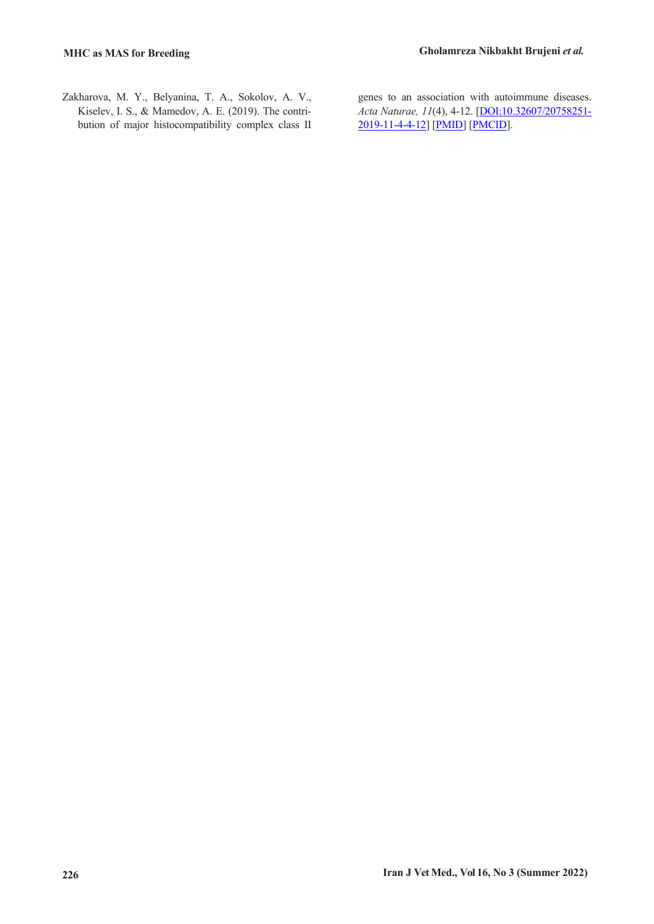Zakharova, M. Y., Belyanina, T. A., Sokolov, A. V., Kiselev, I. S., & Mamedov, A. E. (2019). The contribution of major histocompatibility complex class II genes to an association with autoimmune diseases. *Acta Naturae, 11*(4), 4-12. [DOI:10.32607/20758251- 2019-11-4-4-12] [PMID] [PMCID].